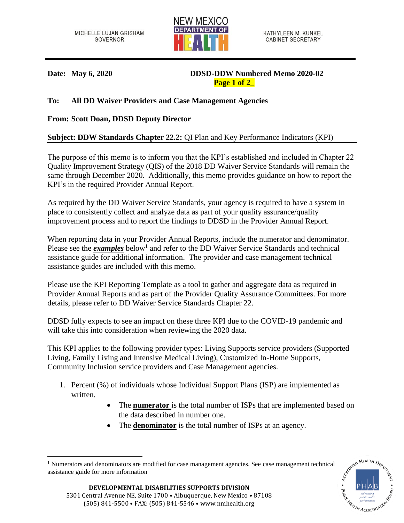

**Date: May 6, 2020 DDSD-DDW Numbered Memo 2020-02 Page 1 of 2\_**

## **To: All DD Waiver Providers and Case Management Agencies**

## **From: Scott Doan, DDSD Deputy Director**

## **Subject: DDW Standards Chapter 22.2:** QI Plan and Key Performance Indicators (KPI)

The purpose of this memo is to inform you that the KPI's established and included in Chapter 22 Quality Improvement Strategy (QIS) of the 2018 DD Waiver Service Standards will remain the same through December 2020. Additionally, this memo provides guidance on how to report the KPI's in the required Provider Annual Report.

As required by the DD Waiver Service Standards, your agency is required to have a system in place to consistently collect and analyze data as part of your quality assurance/quality improvement process and to report the findings to DDSD in the Provider Annual Report.

When reporting data in your Provider Annual Reports, include the numerator and denominator. Please see the *examples* below<sup>1</sup> and refer to the DD Waiver Service Standards and technical assistance guide for additional information. The provider and case management technical assistance guides are included with this memo.

Please use the KPI Reporting Template as a tool to gather and aggregate data as required in Provider Annual Reports and as part of the Provider Quality Assurance Committees. For more details, please refer to DD Waiver Service Standards Chapter 22.

DDSD fully expects to see an impact on these three KPI due to the COVID-19 pandemic and will take this into consideration when reviewing the 2020 data.

This KPI applies to the following provider types: Living Supports service providers (Supported Living, Family Living and Intensive Medical Living), Customized In-Home Supports, Community Inclusion service providers and Case Management agencies.

- 1. Percent (%) of individuals whose Individual Support Plans (ISP) are implemented as written.
	- The **numerator** is the total number of ISPs that are implemented based on the data described in number one.
	- The **denominator** is the total number of ISPs at an agency.

 $\overline{a}$ <sup>1</sup> Numerators and denominators are modified for case management agencies. See case management technical assistance guide for more information